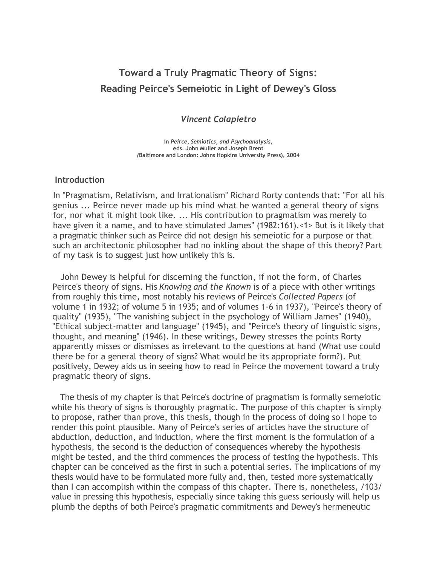# **Toward a Truly Pragmatic Theory of Signs: Reading Peirce's Semeiotic in Light of Dewey's Gloss**

*Vincent Colapietro* 

**in** *Peirce, Semiotics, and Psychoanalysis,*  **eds. John Muller and Joseph Brent** *(***Baltimore and London: Johns Hopkins University Press), 2004**

#### **Introduction**

In "Pragmatism, Relativism, and Irrationalism" Richard Rorty contends that: "For all his genius ... Peirce never made up his mind what he wanted a general theory of signs for, nor what it might look like. ... His contribution to pragmatism was merely to have given it a name, and to have stimulated James" (1982:161).<1> But is it likely that a pragmatic thinker such as Peirce did not design his semeiotic for a purpose or that such an architectonic philosopher had no inkling about the shape of this theory? Part of my task is to suggest just how unlikely this is.

John Dewey is helpful for discerning the function, if not the form, of Charles Peirce's theory of signs. His *Knowing and the Known* is of a piece with other writings from roughly this time, most notably his reviews of Peirce's *Collected Papers* (of volume 1 in 1932; of volume 5 in 1935; and of volumes 1-6 in 1937), "Peirce's theory of quality" (1935), "The vanishing subject in the psychology of William James" (1940), "Ethical subject-matter and language" (1945), and "Peirce's theory of linguistic signs, thought, and meaning" (1946). In these writings, Dewey stresses the points Rorty apparently misses or dismisses as irrelevant to the questions at hand (What use could there be for a general theory of signs? What would be its appropriate form?). Put positively, Dewey aids us in seeing how to read in Peirce the movement toward a truly pragmatic theory of signs.

The thesis of my chapter is that Peirce's doctrine of pragmatism is formally semeiotic while his theory of signs is thoroughly pragmatic. The purpose of this chapter is simply to propose, rather than prove, this thesis, though in the process of doing so I hope to render this point plausible. Many of Peirce's series of articles have the structure of abduction, deduction, and induction, where the first moment is the formulation of a hypothesis, the second is the deduction of consequences whereby the hypothesis might be tested, and the third commences the process of testing the hypothesis. This chapter can be conceived as the first in such a potential series. The implications of my thesis would have to be formulated more fully and, then, tested more systematically than I can accomplish within the compass of this chapter. There is, nonetheless, /103/ value in pressing this hypothesis, especially since taking this guess seriously will help us plumb the depths of both Peirce's pragmatic commitments and Dewey's hermeneutic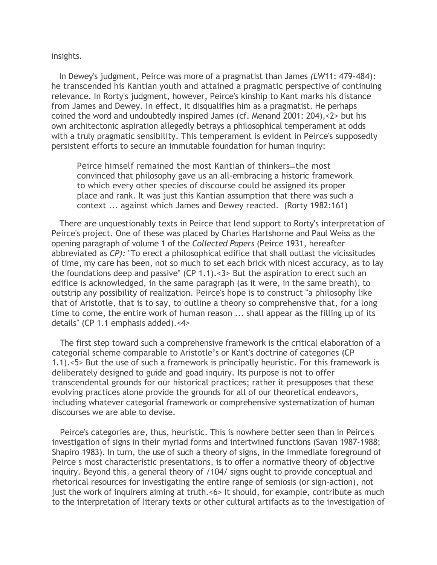insights.

In Dewey's judgment, Peirce was more of a pragmatist than James *(LW*11: 479-484): he transcended his Kantian youth and attained a pragmatic perspective of continuing relevance. In Rorty's judgment, however, Peirce's kinship to Kant marks his distance from James and Dewey. In effect, it disqualifies him as a pragmatist. He perhaps coined the word and undoubtedly inspired James (cf. Menand 2001: 204),<2> but his own architectonic aspiration allegedly betrays a philosophical temperament at odds with a truly pragmatic sensibility. This temperament is evident in Peirce's supposedly persistent efforts to secure an immutable foundation for human inquiry:

Peirce himself remained the most Kantian of thinkers—the most convinced that philosophy gave us an all-embracing a historic framework to which every other species of discourse could be assigned its proper place and rank. It was just this Kantian assumption that there was such a context ... against which James and Dewey reacted. (Rorty 1982:161)

There are unquestionably texts in Peirce that lend support to Rorty's interpretation of Peirce's project. One of these was placed by Charles Hartshorne and Paul Weiss as the opening paragraph of volume 1 of the *Collected Papers* (Peirce 1931, hereafter abbreviated as *CP):* "To erect a philosophical edifice that shall outlast the vicissitudes of time, my care has been, not so much to set each brick with nicest accuracy, as to lay the foundations deep and passive" (CP 1.1).<3> But the aspiration to erect such an edifice is acknowledged, in the same paragraph (as it were, in the same breath), to outstrip any possibility of realization. Peirce's hope is to construct "a philosophy like that of Aristotle, that is to say, to outline a theory so comprehensive that, for a long time to come, the entire work of human reason ... shall appear as the filling up of its details" (CP 1.1 emphasis added).<4>

The first step toward such a comprehensive framework is the critical elaboration of a categorial scheme comparable to Aristotle's or Kant's doctrine of categories (CP 1.1).<5> But the use of such a framework is principally heuristic. For this framework is deliberately designed to guide and goad inquiry. Its purpose is not to offer transcendental grounds for our historical practices; rather it presupposes that these evolving practices alone provide the grounds for all of our theoretical endeavors, including whatever categorial framework or comprehensive systematization of human discourses we are able to devise.

Peirce's categories are, thus, heuristic. This is nowhere better seen than in Peirce's investigation of signs in their myriad forms and intertwined functions (Savan 1987-1988; Shapiro 1983). In turn, the use of such a theory of signs, in the immediate foreground of Peirce s most characteristic presentations, is to offer a normative theory of objective inquiry. Beyond this, a general theory of /104/ signs ought to provide conceptual and rhetorical resources for investigating the entire range of semiosis (or sign-action), not just the work of inquirers aiming at truth.<6> It should, for example, contribute as much to the interpretation of literary texts or other cultural artifacts as to the investigation of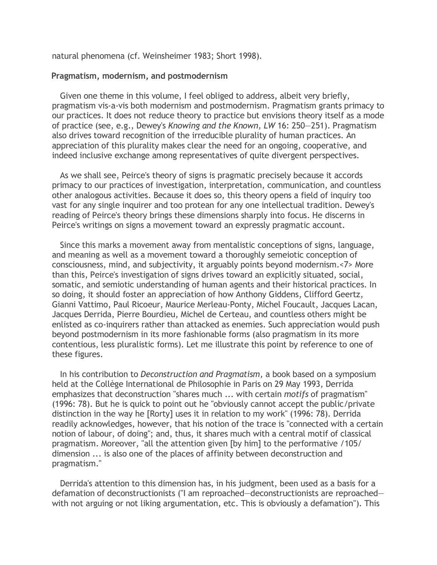natural phenomena (cf. Weinsheimer 1983; Short 1998).

#### **Pragmatism, modernism, and postmodernism**

Given one theme in this volume, I feel obliged to address, albeit very briefly, pragmatism vis-a-vis both modernism and postmodernism. Pragmatism grants primacy to our practices. It does not reduce theory to practice but envisions theory itself as a mode of practice (see, e.g., Dewey's *Knowing and the Known, LW* 16: 250–251). Pragmatism also drives toward recognition of the irreducible plurality of human practices. An appreciation of this plurality makes clear the need for an ongoing, cooperative, and indeed inclusive exchange among representatives of quite divergent perspectives.

As we shall see, Peirce's theory of signs is pragmatic precisely because it accords primacy to our practices of investigation, interpretation, communication, and countless other analogous activities. Because it does so, this theory opens a field of inquiry too vast for any single inquirer and too protean for any one intellectual tradition. Dewey's reading of Peirce's theory brings these dimensions sharply into focus. He discerns in Peirce's writings on signs a movement toward an expressly pragmatic account.

Since this marks a movement away from mentalistic conceptions of signs, language, and meaning as well as a movement toward a thoroughly semeiotic conception of consciousness, mind, and subjectivity, it arguably points beyond modernism.<7> More than this, Peirce's investigation of signs drives toward an explicitly situated, social, somatic, and semiotic understanding of human agents and their historical practices. In so doing, it should foster an appreciation of how Anthony Giddens, Clifford Geertz, Gianni Vattimo, Paul Ricoeur, Maurice Merleau-Ponty, Michel Foucault, Jacques Lacan, Jacques Derrida, Pierre Bourdieu, Michel de Certeau, and countless others might be enlisted as co-inquirers rather than attacked as enemies. Such appreciation would push beyond postmodernism in its more fashionable forms (also pragmatism in its more contentious, less pluralistic forms). Let me illustrate this point by reference to one of these figures.

In his contribution to *Deconstruction and Pragmatism,* a book based on a symposium held at the Collège International de Philosophie in Paris on 29 May 1993, Derrida emphasizes that deconstruction "shares much ... with certain *motifs* of pragmatism" (1996: 78). But he is quick to point out he "obviously cannot accept the public/private distinction in the way he [Rorty] uses it in relation to my work" (1996: 78). Derrida readily acknowledges, however, that his notion of the trace is "connected with a certain notion of labour, of doing"; and, thus, it shares much with a central motif of classical pragmatism. Moreover, "all the attention given [by him] to the performative /105/ dimension ... is also one of the places of affinity between deconstruction and pragmatism."

Derrida's attention to this dimension has, in his judgment, been used as a basis for a defamation of deconstructionists ("I am reproached—deconstructionists are reproached with not arguing or not liking argumentation, etc. This is obviously a defamation"). This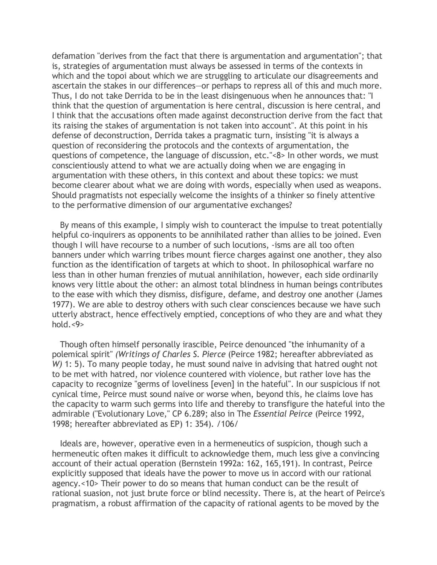defamation "derives from the fact that there is argumentation and argumentation"; that is, strategies of argumentation must always be assessed in terms of the contexts in which and the topoi about which we are struggling to articulate our disagreements and ascertain the stakes in our differences–or perhaps to repress all of this and much more. Thus, I do not take Derrida to be in the least disingenuous when he announces that: "I think that the question of argumentation is here central, discussion is here central, and I think that the accusations often made against deconstruction derive from the fact that its raising the stakes of argumentation is not taken into account". At this point in his defense of deconstruction, Derrida takes a pragmatic turn, insisting "it is always a question of reconsidering the protocols and the contexts of argumentation, the questions of competence, the language of discussion, etc."<8> In other words, we must conscientiously attend to what we are actually doing when we are engaging in argumentation with these others, in this context and about these topics: we must become clearer about what we are doing with words, especially when used as weapons. Should pragmatists not especially welcome the insights of a thinker so finely attentive to the performative dimension of our argumentative exchanges?

By means of this example, I simply wish to counteract the impulse to treat potentially helpful co-inquirers as opponents to be annihilated rather than allies to be joined. Even though I will have recourse to a number of such locutions, -isms are all too often banners under which warring tribes mount fierce charges against one another, they also function as the identification of targets at which to shoot. In philosophical warfare no less than in other human frenzies of mutual annihilation, however, each side ordinarily knows very little about the other: an almost total blindness in human beings contributes to the ease with which they dismiss, disfigure, defame, and destroy one another (James 1977). We are able to destroy others with such clear consciences because we have such utterly abstract, hence effectively emptied, conceptions of who they are and what they hold. $<$ 9 $>$ 

Though often himself personally irascible, Peirce denounced "the inhumanity of a polemical spirit" *(Writings of Charles S*. *Pierce* (Peirce 1982; hereafter abbreviated as *W)* 1: 5). To many people today, he must sound naive in advising that hatred ought not to be met with hatred, nor violence countered with violence, but rather love has the capacity to recognize "germs of loveliness [even] in the hateful". In our suspicious if not cynical time, Peirce must sound naive or worse when, beyond this, he claims love has the capacity to warm such germs into life and thereby to transfigure the hateful into the admirable ("Evolutionary Love," CP 6.289; also in The *Essential Peirce* (Peirce 1992, 1998; hereafter abbreviated as EP) 1: 354). /106/

Ideals are, however, operative even in a hermeneutics of suspicion, though such a hermeneutic often makes it difficult to acknowledge them, much less give a convincing account of their actual operation (Bernstein 1992a: 162, 165,191). In contrast, Peirce explicitly supposed that ideals have the power to move us in accord with our rational agency.<10> Their power to do so means that human conduct can be the result of rational suasion, not just brute force or blind necessity. There is, at the heart of Peirce's pragmatism, a robust affirmation of the capacity of rational agents to be moved by the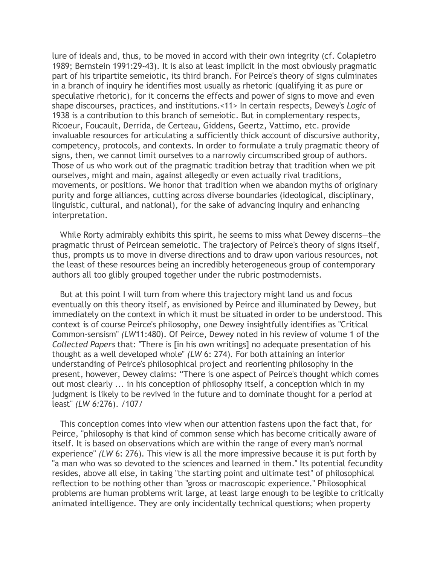lure of ideals and, thus, to be moved in accord with their own integrity (cf. Colapietro 1989; Bernstein 1991:29-43). It is also at least implicit in the most obviously pragmatic part of his tripartite semeiotic, its third branch. For Peirce's theory of signs culminates in a branch of inquiry he identifies most usually as rhetoric (qualifying it as pure or speculative rhetoric), for it concerns the effects and power of signs to move and even shape discourses, practices, and institutions.<11> In certain respects, Dewey's *Logic* of 1938 is a contribution to this branch of semeiotic. But in complementary respects, Ricoeur, Foucault, Derrida, de Certeau, Giddens, Geertz, Vattimo, etc. provide invaluable resources for articulating a sufficiently thick account of discursive authority, competency, protocols, and contexts. In order to formulate a truly pragmatic theory of signs, then, we cannot limit ourselves to a narrowly circumscribed group of authors. Those of us who work out of the pragmatic tradition betray that tradition when we pit ourselves, might and main, against allegedly or even actually rival traditions, movements, or positions. We honor that tradition when we abandon myths of originary purity and forge alliances, cutting across diverse boundaries (ideological, disciplinary, linguistic, cultural, and national), for the sake of advancing inquiry and enhancing interpretation.

While Rorty admirably exhibits this spirit, he seems to miss what Dewey discerns–the pragmatic thrust of Peircean semeiotic. The trajectory of Peirce's theory of signs itself, thus, prompts us to move in diverse directions and to draw upon various resources, not the least of these resources being an incredibly heterogeneous group of contemporary authors all too glibly grouped together under the rubric postmodernists.

But at this point I will turn from where this trajectory might land us and focus eventually on this theory itself, as envisioned by Peirce and illuminated by Dewey, but immediately on the context in which it must be situated in order to be understood. This context is of course Peirce's philosophy, one Dewey insightfully identifies as "Critical Common-sensism" *(LW*11:480). Of Peirce, Dewey noted in his review of volume 1 of the *Collected Papers* that: "There is [in his own writings] no adequate presentation of his thought as a well developed whole" *(LW* 6: 274). For both attaining an interior understanding of Peirce's philosophical project and reorienting philosophy in the present, however, Dewey claims: "There is one aspect of Peirce's thought which comes out most clearly ... in his conception of philosophy itself, a conception which in my judgment is likely to be revived in the future and to dominate thought for a period at least" *(LW 6:*276). /107/

This conception comes into view when our attention fastens upon the fact that, for Peirce, "philosophy is that kind of common sense which has become critically aware of itself. It is based on observations which are within the range of every man's normal experience" *(LW* 6: 276). This view is all the more impressive because it is put forth by "a man who was so devoted to the sciences and learned in them." Its potential fecundity resides, above all else, in taking "the starting point and ultimate test" of philosophical reflection to be nothing other than "gross or macroscopic experience." Philosophical problems are human problems writ large, at least large enough to be legible to critically animated intelligence. They are only incidentally technical questions; when property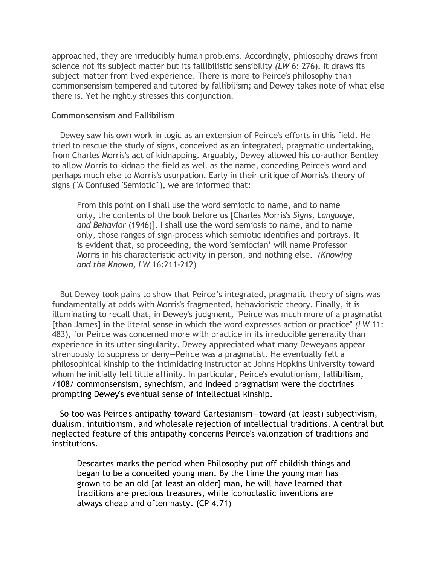approached, they are irreducibly human problems. Accordingly, philosophy draws from science not its subject matter but its fallibilistic sensibility *(LW* 6: 276). It draws its subject matter from lived experience. There is more to Peirce's philosophy than commonsensism tempered and tutored by fallibilism; and Dewey takes note of what else there is. Yet he rightly stresses this conjunction.

### **Commonsensism and Fallibilism**

Dewey saw his own work in logic as an extension of Peirce's efforts in this field. He tried to rescue the study of signs, conceived as an integrated, pragmatic undertaking, from Charles Morris's act of kidnapping. Arguably, Dewey allowed his co-author Bentley to allow Morris to kidnap the field as well as the name, conceding Peirce's word and perhaps much else to Morris's usurpation. Early in their critique of Morris's theory of signs ("A Confused 'Semiotic'"), we are informed that:

From this point on I shall use the word semiotic to name, and to name only, the contents of the book before us [Charles Morris's *Signs, Language, and Behavior* (1946)]. I shall use the word semiosis to name, and to name only, those ranges of sign-process which semiotic identifies and portrays. It is evident that, so proceeding, the word 'semiocian' will name Professor Morris in his characteristic activity in person, and nothing else. *(Knowing and the Known, LW* 16:211-212)

But Dewey took pains to show that Peirce's integrated, pragmatic theory of signs was fundamentally at odds with Morris's fragmented, behavioristic theory. Finally, it is illuminating to recall that, in Dewey's judgment, "Peirce was much more of a pragmatist [than James] in the literal sense in which the word expresses action or practice" *(LW* 11: 483), for Peirce was concerned more with practice in its irreducible generality than experience in its utter singularity. Dewey appreciated what many Deweyans appear strenuously to suppress or deny–Peirce was a pragmatist. He eventually felt a philosophical kinship to the intimidating instructor at Johns Hopkins University toward whom he initially felt little affinity. In particular, Peirce's evolutionism, fallibilism, /108/ commonsensism, synechism, and indeed pragmatism were the doctrines prompting Dewey's eventual sense of intellectual kinship.

So too was Peirce's antipathy toward Cartesianism–toward (at least) subjectivism, dualism, intuitionism, and wholesale rejection of intellectual traditions. A central but neglected feature of this antipathy concerns Peirce's valorization of traditions and institutions.

Descartes marks the period when Philosophy put off childish things and began to be a conceited young man. By the time the young man has grown to be an old [at least an older] man, he will have learned that traditions are precious treasures, while iconoclastic inventions are always cheap and often nasty. (CP 4.71)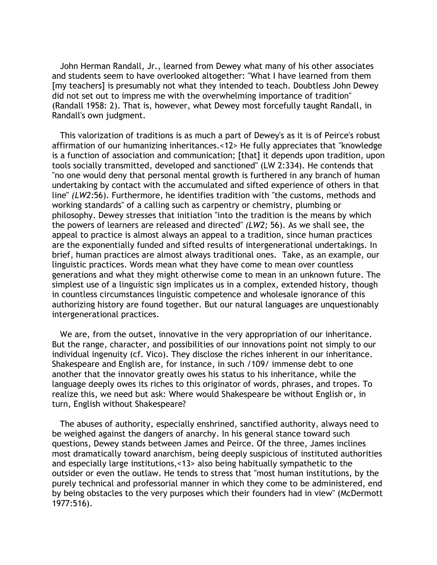John Herman Randall, Jr., learned from Dewey what many of his other associates and students seem to have overlooked altogether: "What I have learned from them [my teachers] is presumably not what they intended to teach. Doubtless John Dewey did not set out to impress me with the overwhelming importance of tradition" (Randall 1958: 2). That is, however, what Dewey most forcefully taught Randall, in Randall's own judgment.

This valorization of traditions is as much a part of Dewey's as it is of Peirce's robust affirmation of our humanizing inheritances.<12> He fully appreciates that "knowledge is a function of association and communication; [that] it depends upon tradition, upon tools socially transmitted, developed and sanctioned" (LW 2:334). He contends that "no one would deny that personal mental growth is furthered in any branch of human undertaking by contact with the accumulated and sifted experience of others in that line" *(LW2:*56). Furthermore, he identifies tradition with "the customs, methods and working standards" of a calling such as carpentry or chemistry, plumbing or philosophy. Dewey stresses that initiation "into the tradition is the means by which the powers of learners are released and directed" *(LW2;* 56). As we shall see, the appeal to practice is almost always an appeal to a tradition, since human practices are the exponentially funded and sifted results of intergenerational undertakings. In brief, human practices are almost always traditional ones. Take, as an example, our linguistic practices. Words mean what they have come to mean over countless generations and what they might otherwise come to mean in an unknown future. The simplest use of a linguistic sign implicates us in a complex, extended history, though in countless circumstances linguistic competence and wholesale ignorance of this authorizing history are found together. But our natural languages are unquestionably intergenerational practices.

We are, from the outset, innovative in the very appropriation of our inheritance. But the range, character, and possibilities of our innovations point not simply to our individual ingenuity (cf. Vico). They disclose the riches inherent in our inheritance. Shakespeare and English are, for instance, in such /109/ immense debt to one another that the innovator greatly owes his status to his inheritance, while the language deeply owes its riches to this originator of words, phrases, and tropes. To realize this, we need but ask: Where would Shakespeare be without English or, in turn, English without Shakespeare?

The abuses of authority, especially enshrined, sanctified authority, always need to be weighed against the dangers of anarchy. In his general stance toward such questions, Dewey stands between James and Peirce. Of the three, James inclines most dramatically toward anarchism, being deeply suspicious of instituted authorities and especially large institutions,<13> also being habitually sympathetic to the outsider or even the outlaw. He tends to stress that "most human institutions, by the purely technical and professorial manner in which they come to be administered, end by being obstacles to the very purposes which their founders had in view" (McDermott 1977:516).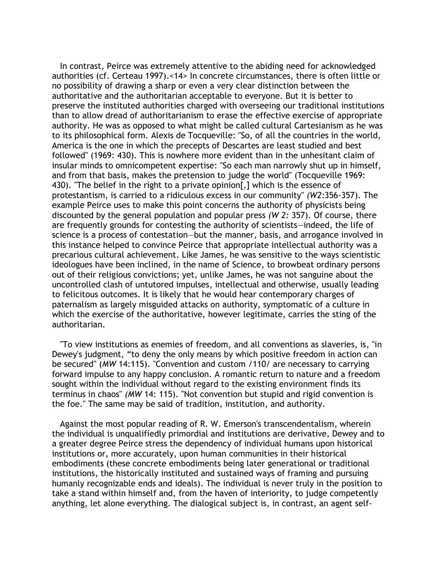In contrast, Peirce was extremely attentive to the abiding need for acknowledged authorities (cf. Certeau 1997).<14> In concrete circumstances, there is often little or no possibility of drawing a sharp or even a very clear distinction between the authoritative and the authoritarian acceptable to everyone. But it is better to preserve the instituted authorities charged with overseeing our traditional institutions than to allow dread of authoritarianism to erase the effective exercise of appropriate authority. He was as opposed to what might be called cultural Cartesianism as he was to its philosophical form. Alexis de Tocqueville: "So, of all the countries in the world, America is the one in which the precepts of Descartes are least studied and best followed" (1969: 430). This is nowhere more evident than in the unhesitant claim of insular minds to omnicompetent expertise: "So each man narrowly shut up in himself, and from that basis, makes the pretension to judge the world" (Tocqueville 1969: 430). "The belief in the right to a private opinion[,] which is the essence of protestantism, is carried to a ridiculous excess in our community" *(W2:*356-357). The example Peirce uses to make this point concerns the authority of physicists being discounted by the general population and popular press *(W 2:* 357). Of course, there are frequently grounds for contesting the authority of scientists—indeed, the life of science is a process of contestation–but the manner, basis, and arrogance involved in this instance helped to convince Peirce that appropriate intellectual authority was a precarious cultural achievement. Like James, he was sensitive to the ways scientistic ideologues have been inclined, in the name of Science, to browbeat ordinary persons out of their religious convictions; yet, unlike James, he was not sanguine about the uncontrolled clash of untutored impulses, intellectual and otherwise, usually leading to felicitous outcomes. It is likely that he would hear contemporary charges of paternalism as largely misguided attacks on authority, symptomatic of a culture in which the exercise of the authoritative, however legitimate, carries the sting of the authoritarian.

"To view institutions as enemies of freedom, and all conventions as slaveries, is, "in Dewey's judgment, "to deny the only means by which positive freedom in action can be secured" (*MW* 14:115). "Convention and custom /110/ are necessary to carrying forward impulse to any happy conclusion. A romantic return to nature and a freedom sought within the individual without regard to the existing environment finds its terminus in chaos" *(MW* 14: 115). "Not convention but stupid and rigid convention is the foe." The same may be said of tradition, institution, and authority.

Against the most popular reading of R. W. Emerson's transcendentalism, wherein the individual is unqualifiedly primordial and institutions are derivative, Dewey and to a greater degree Peirce stress the dependency of individual humans upon historical institutions or, more accurately, upon human communities in their historical embodiments (these concrete embodiments being later generational or traditional institutions, the historically instituted and sustained ways of framing and pursuing humanly recognizable ends and ideals). The individual is never truly in the position to take a stand within himself and, from the haven of interiority, to judge competently anything, let alone everything. The dialogical subject is, in contrast, an agent self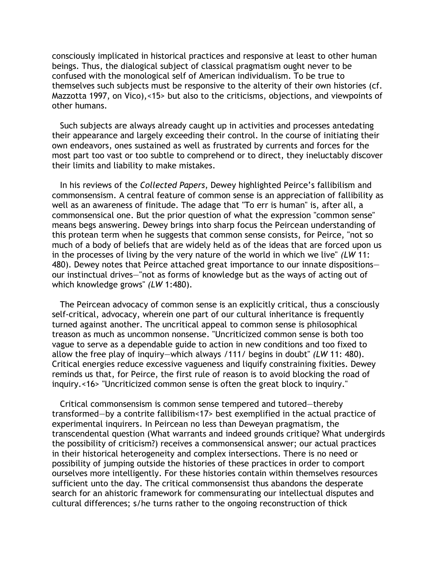consciously implicated in historical practices and responsive at least to other human beings. Thus, the dialogical subject of classical pragmatism ought never to be confused with the monological self of American individualism. To be true to themselves such subjects must be responsive to the alterity of their own histories (cf. Mazzotta 1997, on Vico),<15> but also to the criticisms, objections, and viewpoints of other humans.

Such subjects are always already caught up in activities and processes antedating their appearance and largely exceeding their control. In the course of initiating their own endeavors, ones sustained as well as frustrated by currents and forces for the most part too vast or too subtle to comprehend or to direct, they ineluctably discover their limits and liability to make mistakes.

In his reviews of the *Collected Papers*, Dewey highlighted Peirce's fallibilism and commonsensism. A central feature of common sense is an appreciation of fallibility as well as an awareness of finitude. The adage that "To err is human" is, after all, a commonsensical one. But the prior question of what the expression "common sense" means begs answering. Dewey brings into sharp focus the Peircean understanding of this protean term when he suggests that common sense consists, for Peirce, "not so much of a body of beliefs that are widely held as of the ideas that are forced upon us in the processes of living by the very nature of the world in which we live" *(LW* 11:  $480$ ). Dewey notes that Peirce attached great importance to our innate dispositions– our instinctual drives—"not as forms of knowledge but as the ways of acting out of which knowledge grows" *(LW* 1:480).

The Peircean advocacy of common sense is an explicitly critical, thus a consciously self-critical, advocacy, wherein one part of our cultural inheritance is frequently turned against another. The uncritical appeal to common sense is philosophical treason as much as uncommon nonsense. "Uncriticized common sense is both too vague to serve as a dependable guide to action in new conditions and too fixed to allow the free play of inquiry–which always /111/ begins in doubt" *(LW* 11: 480). Critical energies reduce excessive vagueness and liquify constraining fixities. Dewey reminds us that, for Peirce, the first rule of reason is to avoid blocking the road of inquiry.<16> "Uncriticized common sense is often the great block to inquiry."

Critical commonsensism is common sense tempered and tutored–thereby transformed-by a contrite fallibilism<17> best exemplified in the actual practice of experimental inquirers. In Peircean no less than Deweyan pragmatism, the transcendental question (What warrants and indeed grounds critique? What undergirds the possibility of criticism?) receives a commonsensical answer; our actual practices in their historical heterogeneity and complex intersections. There is no need or possibility of jumping outside the histories of these practices in order to comport ourselves more intelligently. For these histories contain within themselves resources sufficient unto the day. The critical commonsensist thus abandons the desperate search for an ahistoric framework for commensurating our intellectual disputes and cultural differences; s/he turns rather to the ongoing reconstruction of thick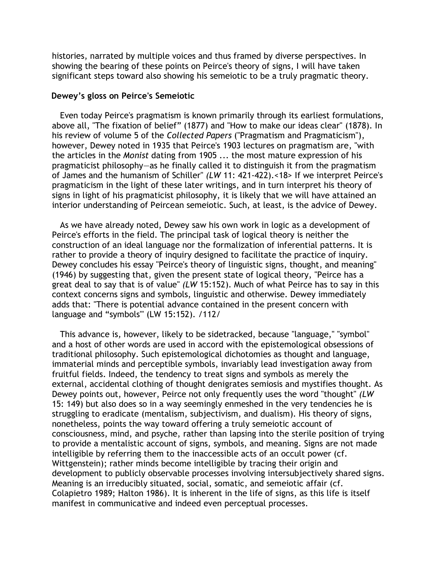histories, narrated by multiple voices and thus framed by diverse perspectives. In showing the bearing of these points on Peirce's theory of signs, I will have taken significant steps toward also showing his semeiotic to be a truly pragmatic theory.

#### **Deweyís gloss on Peirce's Semeiotic**

Even today Peirce's pragmatism is known primarily through its earliest formulations, above all, "The fixation of belief" (1877) and "How to make our ideas clear" (1878). In his review of volume 5 of the *Collected Papers* ("Pragmatism and Pragmaticism"), however, Dewey noted in 1935 that Peirce's 1903 lectures on pragmatism are, "with the articles in the *Monist* dating from 1905 ... the most mature expression of his pragmaticist philosophy–as he finally called it to distinguish it from the pragmatism of James and the humanism of Schiller" *(LW* 11: 421-422).<18> If we interpret Peirce's pragmaticism in the light of these later writings, and in turn interpret his theory of signs in light of his pragmaticist philosophy, it is likely that we will have attained an interior understanding of Peircean semeiotic. Such, at least, is the advice of Dewey.

As we have already noted, Dewey saw his own work in logic as a development of Peirce's efforts in the field. The principal task of logical theory is neither the construction of an ideal language nor the formalization of inferential patterns. It is rather to provide a theory of inquiry designed to facilitate the practice of inquiry. Dewey concludes his essay "Peirce's theory of linguistic signs, thought, and meaning" (1946) by suggesting that, given the present state of logical theory, "Peirce has a great deal to say that is of value" *(LW* 15:152). Much of what Peirce has to say in this context concerns signs and symbols, linguistic and otherwise. Dewey immediately adds that: "There is potential advance contained in the present concern with language and "symbols" (LW 15:152).  $/112/$ 

This advance is*,* however, likely to be sidetracked, because "language," "symbol" and a host of other words are used in accord with the epistemological obsessions of traditional philosophy. Such epistemological dichotomies as thought and language, immaterial minds and perceptible symbols, invariably lead investigation away from fruitful fields. Indeed, the tendency to treat signs and symbols as merely the external, accidental clothing of thought denigrates semiosis and mystifies thought. As Dewey points out, however, Peirce not only frequently uses the word "thought" *(LW*  15: 149) but also does so in a way seemingly enmeshed in the very tendencies he is struggling to eradicate (mentalism, subjectivism, and dualism). His theory of signs, nonetheless, points the way toward offering a truly semeiotic account of consciousness, mind, and psyche, rather than lapsing into the sterile position of trying to provide a mentalistic account of signs, symbols, and meaning. Signs are not made intelligible by referring them to the inaccessible acts of an occult power (cf. Wittgenstein); rather minds become intelligible by tracing their origin and development to publicly observable processes involving intersubjectively shared signs. Meaning is an irreducibly situated, social, somatic, and semeiotic affair (cf. Colapietro 1989; Halton 1986). It is inherent in the life of signs, as this life is itself manifest in communicative and indeed even perceptual processes.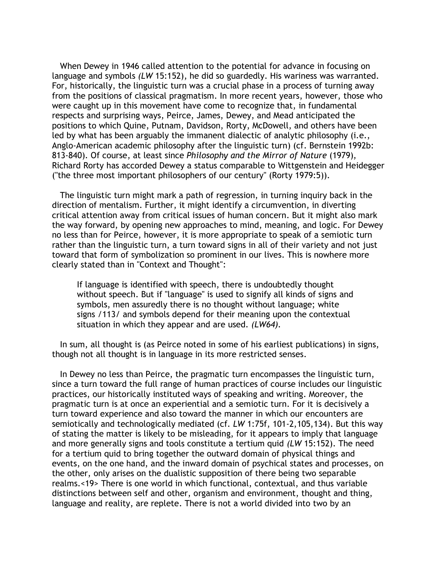When Dewey in 1946 called attention to the potential for advance in focusing on language and symbols *(LW* 15:152), he did so guardedly. His wariness was warranted. For, historically, the linguistic turn was a crucial phase in a process of turning away from the positions of classical pragmatism. In more recent years, however, those who were caught up in this movement have come to recognize that, in fundamental respects and surprising ways, Peirce, James, Dewey, and Mead anticipated the positions to which Quine, Putnam, Davidson, Rorty, McDowell, and others have been led by what has been arguably the immanent dialectic of analytic philosophy (i.e., Anglo-American academic philosophy after the linguistic turn) (cf. Bernstein 1992b: 813-840). Of course, at least since *Philosophy and the Mirror of Nature* (1979), Richard Rorty has accorded Dewey a status comparable to Wittgenstein and Heidegger ("the three most important philosophers of our century" (Rorty 1979:5)).

The linguistic turn might mark a path of regression, in turning inquiry back in the direction of mentalism. Further, it might identify a circumvention, in diverting critical attention away from critical issues of human concern. But it might also mark the way forward, by opening new approaches to mind, meaning, and logic. For Dewey no less than for Peirce, however, it is more appropriate to speak of a semiotic turn rather than the linguistic turn, a turn toward signs in all of their variety and not just toward that form of symbolization so prominent in our lives. This is nowhere more clearly stated than in "Context and Thought":

If language is identified with speech, there is undoubtedly thought without speech. But if "language" is used to signify all kinds of signs and symbols, men assuredly there is no thought without language; white signs /113/ and symbols depend for their meaning upon the contextual situation in which they appear and are used. *(LW64).* 

In sum, all thought is (as Peirce noted in some of his earliest publications) in signs, though not all thought is in language in its more restricted senses.

In Dewey no less than Peirce, the pragmatic turn encompasses the linguistic turn, since a turn toward the full range of human practices of course includes our linguistic practices, our historically instituted ways of speaking and writing. Moreover, the pragmatic turn is at once an experiential and a semiotic turn. For it is decisively a turn toward experience and also toward the manner in which our encounters are semiotically and technologically mediated (cf. *LW* 1:75f, 101-2,105,134). But this way of stating the matter is likely to be misleading, for it appears to imply that language and more generally signs and tools constitute a tertium quid *(LW* 15:152). The need for a tertium quid to bring together the outward domain of physical things and events, on the one hand, and the inward domain of psychical states and processes, on the other, only arises on the dualistic supposition of there being two separable realms.<19> There is one world in which functional, contextual, and thus variable distinctions between self and other, organism and environment, thought and thing, language and reality, are replete. There is not a world divided into two by an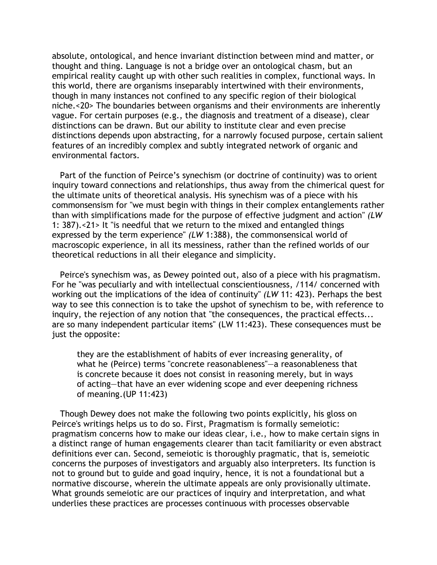absolute, ontological, and hence invariant distinction between mind and matter, or thought and thing. Language is not a bridge over an ontological chasm, but an empirical reality caught up with other such realities in complex, functional ways. In this world, there are organisms inseparably intertwined with their environments, though in many instances not confined to any specific region of their biological niche.<20> The boundaries between organisms and their environments are inherently vague. For certain purposes (e.g., the diagnosis and treatment of a disease), clear distinctions can be drawn. But our ability to institute clear and even precise distinctions depends upon abstracting, for a narrowly focused purpose, certain salient features of an incredibly complex and subtly integrated network of organic and environmental factors.

Part of the function of Peirce's synechism (or doctrine of continuity) was to orient inquiry toward connections and relationships, thus away from the chimerical quest for the ultimate units of theoretical analysis. His synechism was of a piece with his commonsensism for "we must begin with things in their complex entanglements rather than with simplifications made for the purpose of effective judgment and action" *(LW*  1: 387).<21> It "is needful that we return to the mixed and entangled things expressed by the term experience" *(LW* 1:388), the commonsensical world of macroscopic experience, in all its messiness, rather than the refined worlds of our theoretical reductions in all their elegance and simplicity.

Peirce's synechism was, as Dewey pointed out, also of a piece with his pragmatism. For he "was peculiarly and with intellectual conscientiousness, /114/ concerned with working out the implications of the idea of continuity" *(LW* 11: 423). Perhaps the best way to see this connection is to take the upshot of synechism to be, with reference to inquiry, the rejection of any notion that "the consequences, the practical effects... are so many independent particular items" (LW 11:423). These consequences must be just the opposite:

they are the establishment of habits of ever increasing generality, of what he (Peirce) terms "concrete reasonableness"—a reasonableness that is concrete because it does not consist in reasoning merely, but in ways of acting–that have an ever widening scope and ever deepening richness of meaning.(UP 11:423)

Though Dewey does not make the following two points explicitly, his gloss on Peirce's writings helps us to do so. First, Pragmatism is formally semeiotic: pragmatism concerns how to make our ideas clear, i.e., how to make certain signs in a distinct range of human engagements clearer than tacit familiarity or even abstract definitions ever can. Second, semeiotic is thoroughly pragmatic, that is, semeiotic concerns the purposes of investigators and arguably also interpreters. Its function is not to ground but to guide and goad inquiry, hence, it is not a foundational but a normative discourse, wherein the ultimate appeals are only provisionally ultimate. What grounds semeiotic are our practices of inquiry and interpretation, and what underlies these practices are processes continuous with processes observable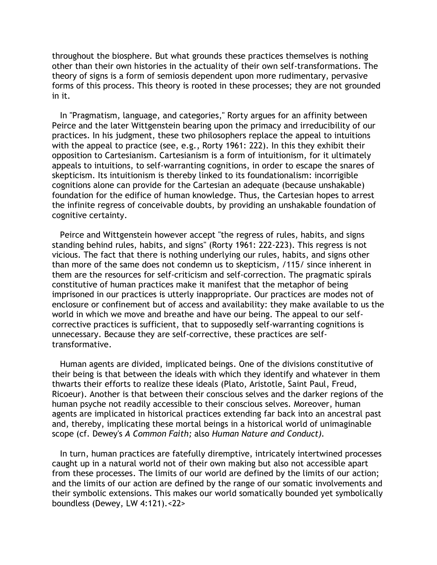throughout the biosphere. But what grounds these practices themselves is nothing other than their own histories in the actuality of their own self-transformations. The theory of signs is a form of semiosis dependent upon more rudimentary, pervasive forms of this process. This theory is rooted in these processes; they are not grounded in it.

In "Pragmatism, language, and categories," Rorty argues for an affinity between Peirce and the later Wittgenstein bearing upon the primacy and irreducibility of our practices. In his judgment, these two philosophers replace the appeal to intuitions with the appeal to practice (see, e.g., Rorty 1961: 222). In this they exhibit their opposition to Cartesianism. Cartesianism is a form of intuitionism, for it ultimately appeals to intuitions, to self-warranting cognitions, in order to escape the snares of skepticism. Its intuitionism is thereby linked to its foundationalism: incorrigible cognitions alone can provide for the Cartesian an adequate (because unshakable) foundation for the edifice of human knowledge. Thus, the Cartesian hopes to arrest the infinite regress of conceivable doubts, by providing an unshakable foundation of cognitive certainty.

Peirce and Wittgenstein however accept "the regress of rules, habits, and signs standing behind rules, habits, and signs" (Rorty 1961: 222-223). This regress is not vicious. The fact that there is nothing underlying our rules, habits, and signs other than more of the same does not condemn us to skepticism, /115/ since inherent in them are the resources for self-criticism and self-correction. The pragmatic spirals constitutive of human practices make it manifest that the metaphor of being imprisoned in our practices is utterly inappropriate. Our practices are modes not of enclosure or confinement but of access and availability: they make available to us the world in which we move and breathe and have our being. The appeal to our selfcorrective practices is sufficient, that to supposedly self-warranting cognitions is unnecessary. Because they are self-corrective, these practices are selftransformative.

Human agents are divided, implicated beings. One of the divisions constitutive of their being is that between the ideals with which they identify and whatever in them thwarts their efforts to realize these ideals (Plato, Aristotle, Saint Paul, Freud, Ricoeur). Another is that between their conscious selves and the darker regions of the human psyche not readily accessible to their conscious selves. Moreover, human agents are implicated in historical practices extending far back into an ancestral past and, thereby, implicating these mortal beings in a historical world of unimaginable scope (cf. Dewey's *A Common Faith;* also *Human Nature and Conduct).* 

In turn, human practices are fatefully diremptive, intricately intertwined processes caught up in a natural world not of their own making but also not accessible apart from these processes. The limits of our world are defined by the limits of our action; and the limits of our action are defined by the range of our somatic involvements and their symbolic extensions. This makes our world somatically bounded yet symbolically boundless (Dewey, LW 4:121).<22>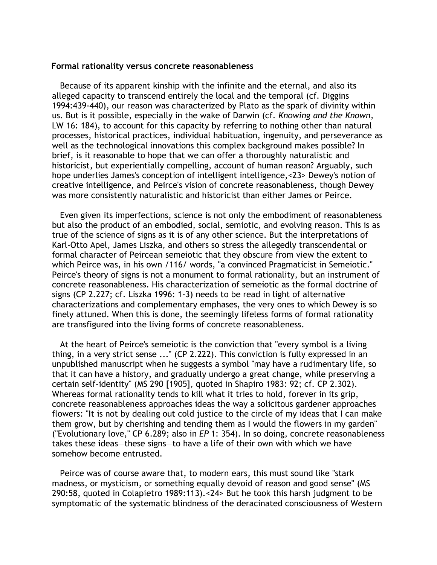#### **Formal rationality versus concrete reasonableness**

Because of its apparent kinship with the infinite and the eternal, and also its alleged capacity to transcend entirely the local and the temporal (cf. Diggins 1994:439-440), our reason was characterized by Plato as the spark of divinity within us. But is it possible, especially in the wake of Darwin (cf. *Knowing and the Known,* LW 16: 184), to account for this capacity by referring to nothing other than natural processes, historical practices, individual habituation, ingenuity, and perseverance as well as the technological innovations this complex background makes possible? In brief, is it reasonable to hope that we can offer a thoroughly naturalistic and historicist, but experientially compelling, account of human reason? Arguably, such hope underlies James's conception of intelligent intelligence,<23> Dewey's notion of creative intelligence, and Peirce's vision of concrete reasonableness, though Dewey was more consistently naturalistic and historicist than either James or Peirce.

Even given its imperfections, science is not only the embodiment of reasonableness but also the product of an embodied, social, semiotic, and evolving reason. This is as true of the science of signs as it is of any other science. But the interpretations of Karl-Otto Apel, James Liszka, and others so stress the allegedly transcendental or formal character of Peircean semeiotic that they obscure from view the extent to which Peirce was, in his own /116/ words, "a convinced Pragmaticist in Semeiotic." Peirce's theory of signs is not a monument to formal rationality, but an instrument of concrete reasonableness. His characterization of semeiotic as the formal doctrine of signs (CP 2.227; cf. Liszka 1996: 1-3) needs to be read in light of alternative characterizations and complementary emphases, the very ones to which Dewey is so finely attuned. When this is done, the seemingly lifeless forms of formal rationality are transfigured into the living forms of concrete reasonableness.

At the heart of Peirce's semeiotic is the conviction that "every symbol is a living thing, in a very strict sense ..." (CP 2.222). This conviction is fully expressed in an unpublished manuscript when he suggests a symbol "may have a rudimentary life, so that it can have a history, and gradually undergo a great change, while preserving a certain self-identity" (MS 290 [1905], quoted in Shapiro 1983: 92; cf. CP 2.302). Whereas formal rationality tends to kill what it tries to hold, forever in its grip, concrete reasonableness approaches ideas the way a solicitous gardener approaches flowers: "It is not by dealing out cold justice to the circle of my ideas that I can make them grow, but by cherishing and tending them as I would the flowers in my garden" ("Evolutionary love," CP 6.289; also in *EP* 1: 354). In so doing, concrete reasonableness takes these ideas–these signs–to have a life of their own with which we have somehow become entrusted.

Peirce was of course aware that, to modern ears, this must sound like "stark madness, or mysticism, or something equally devoid of reason and good sense" (MS 290:58, quoted in Colapietro 1989:113).<24> But he took this harsh judgment to be symptomatic of the systematic blindness of the deracinated consciousness of Western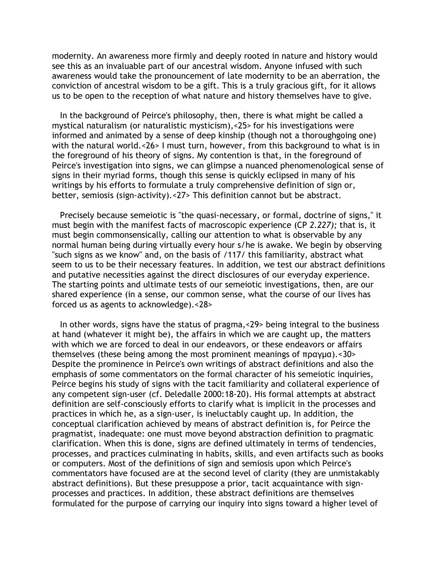modernity. An awareness more firmly and deeply rooted in nature and history would see this as an invaluable part of our ancestral wisdom. Anyone infused with such awareness would take the pronouncement of late modernity to be an aberration, the conviction of ancestral wisdom to be a gift. This is a truly gracious gift, for it allows us to be open to the reception of what nature and history themselves have to give.

In the background of Peirce's philosophy, then, there is what might be called a mystical naturalism (or naturalistic mysticism),<25> for his investigations were informed and animated by a sense of deep kinship (though not a thoroughgoing one) with the natural world.<26> I must turn, however, from this background to what is in the foreground of his theory of signs. My contention is that, in the foreground of Peirce's investigation into signs, we can glimpse a nuanced phenomenological sense of signs in their myriad forms, though this sense is quickly eclipsed in many of his writings by his efforts to formulate a truly comprehensive definition of sign or, better, semiosis (sign-activity).<27> This definition cannot but be abstract.

Precisely because semeiotic is "the quasi-necessary, or formal, doctrine of signs," it must begin with the manifest facts of macroscopic experience (CP *2.227);* that is, it must begin commonsensically, calling our attention to what is observable by any normal human being during virtually every hour s/he is awake. We begin by observing "such signs as we know" and, on the basis of /117/ this familiarity, abstract what seem to us to be their necessary features. In addition, we test our abstract definitions and putative necessities against the direct disclosures of our everyday experience. The starting points and ultimate tests of our semeiotic investigations, then, are our shared experience (in a sense, our common sense, what the course of our lives has forced us as agents to acknowledge).<28>

In other words, signs have the status of pragma,<29> being integral to the business at hand (whatever it might be), the affairs in which we are caught up, the matters with which we are forced to deal in our endeavors, or these endeavors or affairs themselves (these being among the most prominent meanings of πραγµα).<30> Despite the prominence in Peirce's own writings of abstract definitions and also the emphasis of some commentators on the formal character of his semeiotic inquiries, Peirce begins his study of signs with the tacit familiarity and collateral experience of any competent sign-user (cf. Deledalle 2000:18-20). His formal attempts at abstract definition are self-consciously efforts to clarify what is implicit in the processes and practices in which he, as a sign-user, is ineluctably caught up. In addition, the conceptual clarification achieved by means of abstract definition is, for Peirce the pragmatist, inadequate: one must move beyond abstraction definition to pragmatic clarification. When this is done, signs are defined ultimately in terms of tendencies, processes, and practices culminating in habits, skills, and even artifacts such as books or computers. Most of the definitions of sign and semiosis upon which Peirce's commentators have focused are at the second level of clarity (they are unmistakably abstract definitions). But these presuppose a prior, tacit acquaintance with signprocesses and practices. In addition, these abstract definitions are themselves formulated for the purpose of carrying our inquiry into signs toward a higher level of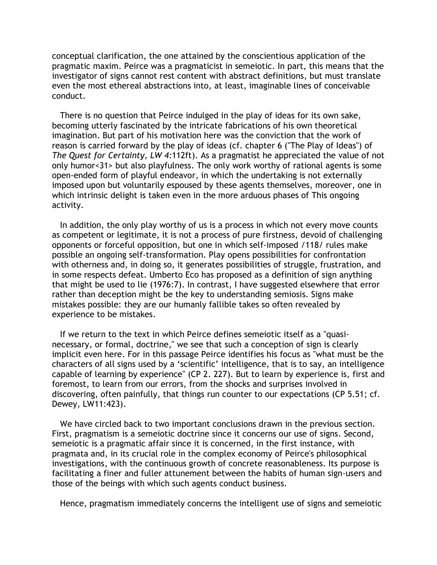conceptual clarification, the one attained by the conscientious application of the pragmatic maxim. Peirce was a pragmaticist in semeiotic. In part, this means that the investigator of signs cannot rest content with abstract definitions, but must translate even the most ethereal abstractions into, at least, imaginable lines of conceivable conduct.

There is no question that Peirce indulged in the play of ideas for its own sake, becoming utterly fascinated by the intricate fabrications of his own theoretical imagination. But part of his motivation here was the conviction that the work of reason is carried forward by the play of ideas (cf. chapter 6 ("The Play of Ideas") of *The Quest for Certainty, LW 4:*112ft). As a pragmatist he appreciated the value of not only humor<31> but also playfulness. The only work worthy of rational agents is some open-ended form of playful endeavor, in which the undertaking is not externally imposed upon but voluntarily espoused by these agents themselves, moreover, one in which intrinsic delight is taken even in the more arduous phases of This ongoing activity.

In addition, the only play worthy of us is a process in which not every move counts as competent or legitimate, it is not a process of pure firstness, devoid of challenging opponents or forceful opposition, but one in which self-imposed /118/ rules make possible an ongoing self-transformation. Play opens possibilities for confrontation with otherness and, in doing so, it generates possibilities of struggle, frustration, and in some respects defeat. Umberto Eco has proposed as a definition of sign anything that might be used to lie (1976:7). In contrast, I have suggested elsewhere that error rather than deception might be the key to understanding semiosis. Signs make mistakes possible: they are our humanly fallible takes so often revealed by experience to be mistakes.

If we return to the text in which Peirce defines semeiotic itself as a "quasinecessary, or formal, doctrine," we see that such a conception of sign is clearly implicit even here. For in this passage Peirce identifies his focus as "what must be the characters of all signs used by a 'scientific' intelligence, that is to say, an intelligence capable of learning by experience" (CP 2. 227). But to learn by experience is, first and foremost, to learn from our errors, from the shocks and surprises involved in discovering, often painfully, that things run counter to our expectations (CP 5.51; cf. Dewey, LW11:423).

We have circled back to two important conclusions drawn in the previous section. First, pragmatism is a semeiotic doctrine since it concerns our use of signs. Second, semeiotic is a pragmatic affair since it is concerned, in the first instance, with pragmata and, in its crucial role in the complex economy of Peirce's philosophical investigations, with the continuous growth of concrete reasonableness. Its purpose is facilitating a finer and fuller attunement between the habits of human sign-users and those of the beings with which such agents conduct business.

Hence, pragmatism immediately concerns the intelligent use of signs and semeiotic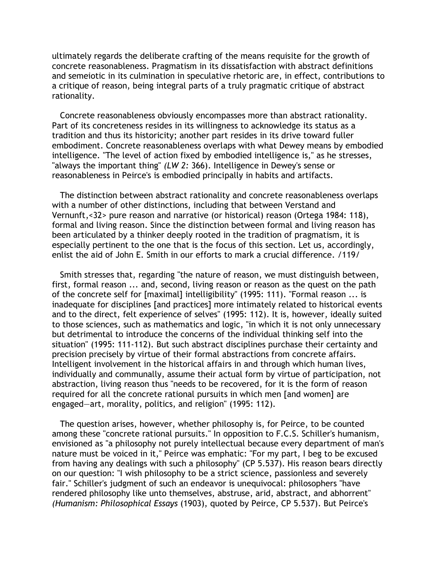ultimately regards the deliberate crafting of the means requisite for the growth of concrete reasonableness. Pragmatism in its dissatisfaction with abstract definitions and semeiotic in its culmination in speculative rhetoric are, in effect, contributions to a critique of reason, being integral parts of a truly pragmatic critique of abstract rationality.

Concrete reasonableness obviously encompasses more than abstract rationality. Part of its concreteness resides in its willingness to acknowledge its status as a tradition and thus its historicity; another part resides in its drive toward fuller embodiment. Concrete reasonableness overlaps with what Dewey means by embodied intelligence. "The level of action fixed by embodied intelligence is," as he stresses, "always the important thing" *(LW 2:* 366). Intelligence in Dewey's sense or reasonableness in Peirce's is embodied principally in habits and artifacts.

The distinction between abstract rationality and concrete reasonableness overlaps with a number of other distinctions, including that between Verstand and Vernunft,<32> pure reason and narrative (or historical) reason (Ortega 1984: 118), formal and living reason. Since the distinction between formal and living reason has been articulated by a thinker deeply rooted in the tradition of pragmatism, it is especially pertinent to the one that is the focus of this section. Let us, accordingly, enlist the aid of John E. Smith in our efforts to mark a crucial difference. /119/

Smith stresses that, regarding "the nature of reason, we must distinguish between, first, formal reason ... and, second, living reason or reason as the quest on the path of the concrete self for [maximal] intelligibility" (1995: 111). "Formal reason ... is inadequate for disciplines [and practices] more intimately related to historical events and to the direct, felt experience of selves" (1995: 112). It is, however, ideally suited to those sciences, such as mathematics and logic, "in which it is not only unnecessary but detrimental to introduce the concerns of the individual thinking self into the situation" (1995: 111-112). But such abstract disciplines purchase their certainty and precision precisely by virtue of their formal abstractions from concrete affairs. Intelligent involvement in the historical affairs in and through which human lives, individually and communally, assume their actual form by virtue of participation, not abstraction, living reason thus "needs to be recovered, for it is the form of reason required for all the concrete rational pursuits in which men [and women] are engaged–art, morality, politics, and religion" (1995: 112).

The question arises, however, whether philosophy is, for Peirce, to be counted among these "concrete rational pursuits." In opposition to F.C.S. Schiller's humanism, envisioned as "a philosophy not purely intellectual because every department of man's nature must be voiced in it," Peirce was emphatic: "For my part, I beg to be excused from having any dealings with such a philosophy" (CP 5.537). His reason bears directly on our question: "I wish philosophy to be a strict science, passionless and severely fair." Schiller's judgment of such an endeavor is unequivocal: philosophers "have rendered philosophy like unto themselves, abstruse, arid, abstract, and abhorrent" *(Humanism: Philosophical Essays* (1903), quoted by Peirce, CP 5.537). But Peirce's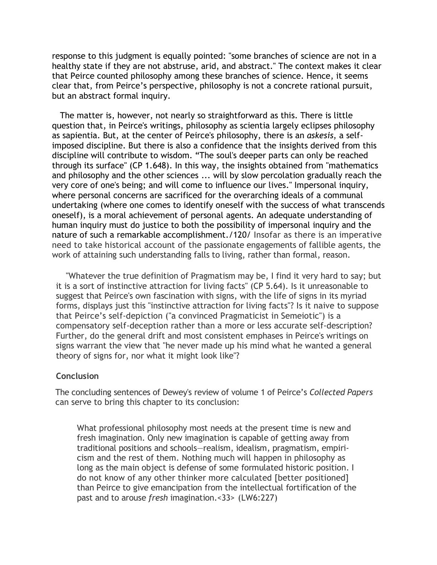response to this judgment is equally pointed: "some branches of science are not in a healthy state if they are not abstruse, arid, and abstract." The context makes it clear that Peirce counted philosophy among these branches of science. Hence, it seems clear that, from Peirce's perspective, philosophy is not a concrete rational pursuit, but an abstract formal inquiry.

The matter is, however, not nearly so straightforward as this. There is little question that, in Peirce's writings, philosophy as scientia largely eclipses philosophy as sapientia. But, at the center of Peirce's philosophy, there is an *askesis*, a selfimposed discipline. But there is also a confidence that the insights derived from this discipline will contribute to wisdom. "The soul's deeper parts can only be reached through its surface" (CP 1.648). In this way, the insights obtained from "mathematics and philosophy and the other sciences ... will by slow percolation gradually reach the very core of one's being; and will come to influence our lives." Impersonal inquiry, where personal concerns are sacrificed for the overarching ideals of a communal undertaking (where one comes to identify oneself with the success of what transcends oneself), is a moral achievement of personal agents. An adequate understanding of human inquiry must do justice to both the possibility of impersonal inquiry and the nature of such a remarkable accomplishment./120/ Insofar as there is an imperative need to take historical account of the passionate engagements of fallible agents, the work of attaining such understanding falls to living, rather than formal, reason.

"Whatever the true definition of Pragmatism may be, I find it very hard to say; but it is a sort of instinctive attraction for living facts" (CP 5.64). Is it unreasonable to suggest that Peirce's own fascination with signs, with the life of signs in its myriad forms, displays just this "instinctive attraction for living facts"? Is it naive to suppose that Peirce's self-depiction ("a convinced Pragmaticist in Semeiotic") is a compensatory self-deception rather than a more or less accurate self-description? Further, do the general drift and most consistent emphases in Peirce's writings on signs warrant the view that "he never made up his mind what he wanted a general theory of signs for, nor what it might look like"?

#### **Conclusion**

The concluding sentences of Dewey's review of volume 1 of Peirce's *Collected Papers* can serve to bring this chapter to its conclusion:

What professional philosophy most needs at the present time is new and fresh imagination. Only new imagination is capable of getting away from traditional positions and schools–realism, idealism, pragmatism, empiricism and the rest of them. Nothing much will happen in philosophy as long as the main object is defense of some formulated historic position. I do not know of any other thinker more calculated [better positioned] than Peirce to give emancipation from the intellectual fortification of the past and to arouse *fresh* imagination.<33> (LW6:227)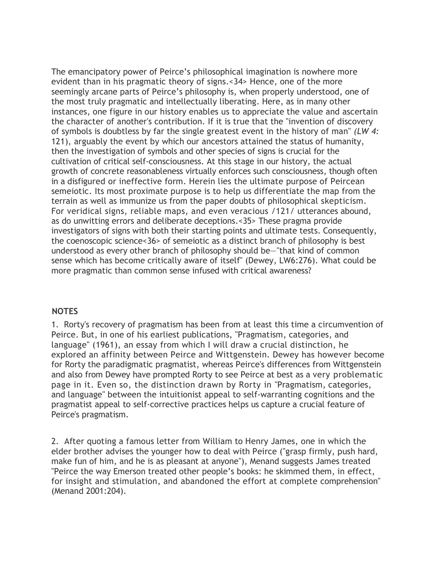The emancipatory power of Peirce's philosophical imagination is nowhere more evident than in his pragmatic theory of signs.<34> Hence, one of the more seemingly arcane parts of Peirce's philosophy is, when properly understood, one of the most truly pragmatic and intellectually liberating. Here, as in many other instances, one figure in our history enables us to appreciate the value and ascertain the character of another's contribution. If it is true that the "invention of discovery of symbols is doubtless by far the single greatest event in the history of man" *(LW 4:*  121), arguably the event by which our ancestors attained the status of humanity, then the investigation of symbols and other species of signs is crucial for the cultivation of critical self-consciousness. At this stage in our history, the actual growth of concrete reasonableness virtually enforces such consciousness, though often in a disfigured or ineffective form. Herein lies the ultimate purpose of Peircean semeiotic. Its most proximate purpose is to help us differentiate the map from the terrain as well as immunize us from the paper doubts of philosophical skepticism. For veridical signs, reliable maps, and even veracious /121/ utterances abound, as do unwitting errors and deliberate deceptions.<35> These pragma provide investigators of signs with both their starting points and ultimate tests. Consequently, the coenoscopic science<36> of semeiotic as a distinct branch of philosophy is best understood as every other branch of philosophy should be–"that kind of common sense which has become critically aware of itself" (Dewey, LW6:276). What could be more pragmatic than common sense infused with critical awareness?

## **NOTES**

1. Rorty's recovery of pragmatism has been from at least this time a circumvention of Peirce. But, in one of his earliest publications, "Pragmatism, categories, and language" (1961), an essay from which I will draw a crucial distinction, he explored an affinity between Peirce and Wittgenstein. Dewey has however become for Rorty the paradigmatic pragmatist, whereas Peirce's differences from Wittgenstein and also from Dewey have prompted Rorty to see Peirce at best as a very problematic page in it. Even so, the distinction drawn by Rorty in "Pragmatism, categories, and language" between the intuitionist appeal to self-warranting cognitions and the pragmatist appeal to self-corrective practices helps us capture a crucial feature of Peirce's pragmatism.

2. After quoting a famous letter from William to Henry James, one in which the elder brother advises the younger how to deal with Peirce ("grasp firmly, push hard, make fun of him, and he is as pleasant at anyone"), Menand suggests James treated "Peirce the way Emerson treated other people's books: he skimmed them, in effect, for insight and stimulation, and abandoned the effort at complete comprehension" (Menand 2001:204).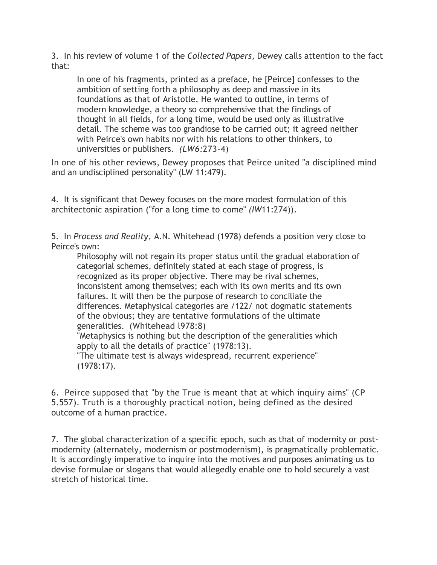3. In his review of volume 1 of the *Collected Papers,* Dewey calls attention to the fact that:

In one of his fragments, printed as a preface, he [Peirce] confesses to the ambition of setting forth a philosophy as deep and massive in its foundations as that of Aristotle. He wanted to outline, in terms of modern knowledge, a theory so comprehensive that the findings of thought in all fields, for a long time, would be used only as illustrative detail. The scheme was too grandiose to be carried out; it agreed neither with Peirce's own habits nor with his relations to other thinkers, to universities or publishers. *(LW6:*273-4)

In one of his other reviews, Dewey proposes that Peirce united "a disciplined mind and an undisciplined personality" (LW 11:479).

4. It is significant that Dewey focuses on the more modest formulation of this architectonic aspiration ("for a long time to come" *(IW*11:274)).

5. In *Process and Reality,* A.N. Whitehead (1978) defends a position very close to Peirce's own:

Philosophy will not regain its proper status until the gradual elaboration of categorial schemes, definitely stated at each stage of progress, is recognized as its proper objective. There may be rival schemes, inconsistent among themselves; each with its own merits and its own failures. It will then be the purpose of research to conciliate the differences. Metaphysical categories are /122/ not dogmatic statements of the obvious; they are tentative formulations of the ultimate generalities. (Whitehead l978:8) "Metaphysics is nothing but the description of the generalities which apply to all the details of practice" (1978:13).

"The ultimate test is always widespread, recurrent experience" (1978:17).

6. Peirce supposed that "by the True is meant that at which inquiry aims" (CP 5.557). Truth is a thoroughly practical notion, being defined as the desired outcome of a human practice.

7. The global characterization of a specific epoch, such as that of modernity or postmodernity (alternately, modernism or postmodernism), is pragmatically problematic. It is accordingly imperative to inquire into the motives and purposes animating us to devise formulae or slogans that would allegedly enable one to hold securely a vast stretch of historical time.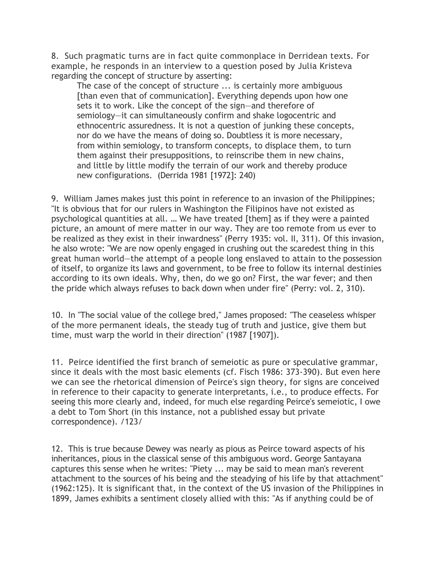8. Such pragmatic turns are in fact quite commonplace in Derridean texts. For example, he responds in an interview to a question posed by Julia Kristeva regarding the concept of structure by asserting:

The case of the concept of structure ... is certainly more ambiguous [than even that of communication]. Everything depends upon how one sets it to work. Like the concept of the sign-and therefore of semiology-it can simultaneously confirm and shake logocentric and ethnocentric assuredness. It is not a question of junking these concepts, nor do we have the means of doing so. Doubtless it is more necessary, from within semiology, to transform concepts, to displace them, to turn them against their presuppositions, to reinscribe them in new chains, and little by little modify the terrain of our work and thereby produce new configurations. (Derrida 1981 [1972]: 240)

9. William James makes just this point in reference to an invasion of the Philippines; "It is obvious that for our rulers in Washington the Filipinos have not existed as psychological quantities at all. ... We have treated [them] as if they were a painted picture, an amount of mere matter in our way. They are too remote from us ever to be realized as they exist in their inwardness" (Perry 1935: vol. II, 311). Of this invasion, he also wrote: "We are now openly engaged in crushing out the scaredest thing in this great human world–the attempt of a people long enslaved to attain to the possession of itself, to organize its laws and government, to be free to follow its internal destinies according to its own ideals. Why, then, do we go on? First, the war fever; and then the pride which always refuses to back down when under fire" (Perry: vol. 2, 310).

10. In "The social value of the college bred," James proposed: "The ceaseless whisper of the more permanent ideals, the steady tug of truth and justice, give them but time, must warp the world in their direction" (1987 [1907]).

11. Peirce identified the first branch of semeiotic as pure or speculative grammar, since it deals with the most basic elements (cf. Fisch 1986: 373-390). But even here we can see the rhetorical dimension of Peirce's sign theory, for signs are conceived in reference to their capacity to generate interpretants, i.e., to produce effects. For seeing this more clearly and, indeed, for much else regarding Peirce's semeiotic, I owe a debt to Tom Short (in this instance, not a published essay but private correspondence). /123/

12. This is true because Dewey was nearly as pious as Peirce toward aspects of his inheritances, pious in the classical sense of this ambiguous word. George Santayana captures this sense when he writes: "Piety ... may be said to mean man's reverent attachment to the sources of his being and the steadying of his life by that attachment" (1962:125). It is significant that, in the context of the US invasion of the Philippines in 1899, James exhibits a sentiment closely allied with this: "As if anything could be of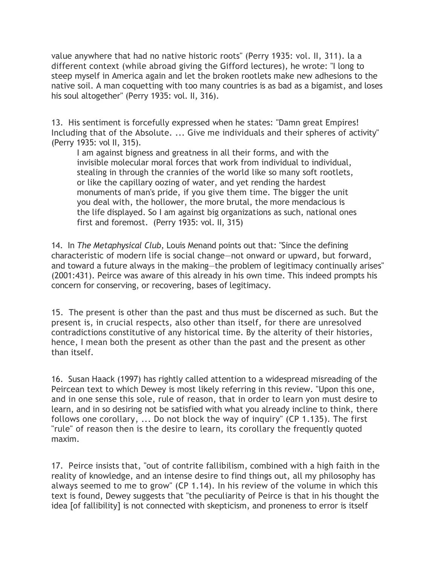value anywhere that had no native historic roots" (Perry 1935: vol. II, 311). la a different context (while abroad giving the Gifford lectures), he wrote: "I long to steep myself in America again and let the broken rootlets make new adhesions to the native soil. A man coquetting with too many countries is as bad as a bigamist, and loses his soul altogether" (Perry 1935: vol. II, 316).

13. His sentiment is forcefully expressed when he states: "Damn great Empires! Including that of the Absolute. ... Give me individuals and their spheres of activity" (Perry 1935: vol II, 315).

I am against bigness and greatness in all their forms, and with the invisible molecular moral forces that work from individual to individual, stealing in through the crannies of the world like so many soft rootlets, or like the capillary oozing of water, and yet rending the hardest monuments of man's pride, if you give them time. The bigger the unit you deal with, the hollower, the more brutal, the more mendacious is the life displayed. So I am against big organizations as such, national ones first and foremost. (Perry 1935: vol. II, 315)

14. In *The Metaphysical Club*, Louis Menand points out that: "Since the defining characteristic of modern life is social change–not onward or upward, but forward, and toward a future always in the making-the problem of legitimacy continually arises" (2001:431). Peirce was aware of this already in his own time. This indeed prompts his concern for conserving, or recovering, bases of legitimacy.

15. The present is other than the past and thus must be discerned as such. But the present is, in crucial respects, also other than itself, for there are unresolved contradictions constitutive of any historical time. By the alterity of their histories, hence, I mean both the present as other than the past and the present as other than itself.

16. Susan Haack (1997) has rightly called attention to a widespread misreading of the Peircean text to which Dewey is most likely referring in this review. "Upon this one, and in one sense this sole, rule of reason, that in order to learn yon must desire to learn, and in so desiring not be satisfied with what you already incline to think, there follows one corollary, ... Do not block the way of inquiry" (CP 1.135). The first "rule" of reason then is the desire to learn, its corollary the frequently quoted maxim.

17. Peirce insists that, "out of contrite fallibilism, combined with a high faith in the reality of knowledge, and an intense desire to find things out, all my philosophy has always seemed to me to grow" (CP 1.14). In his review of the volume in which this text is found, Dewey suggests that "the peculiarity of Peirce is that in his thought the idea [of fallibility] is not connected with skepticism, and proneness to error is itself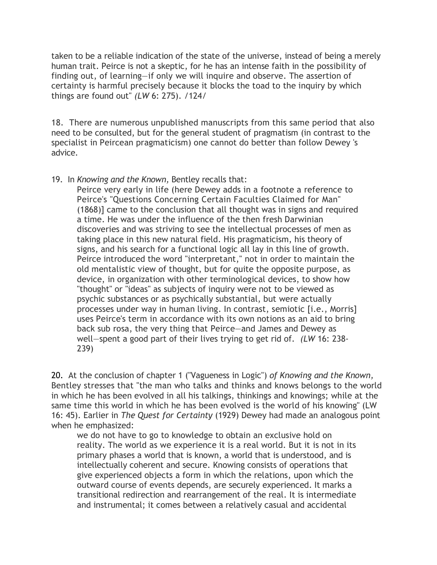taken to be a reliable indication of the state of the universe, instead of being a merely human trait. Peirce is not a skeptic, for he has an intense faith in the possibility of finding out, of learning-if only we will inquire and observe. The assertion of certainty is harmful precisely because it blocks the toad to the inquiry by which things are found out" *(LW* 6: 275). /124/

18. There are numerous unpublished manuscripts from this same period that also need to be consulted, but for the general student of pragmatism (in contrast to the specialist in Peircean pragmaticism) one cannot do better than follow Dewey 's advice.

19. In *Knowing and the Known,* Bentley recalls that:

Peirce very early in life (here Dewey adds in a footnote a reference to Peirce's "Questions Concerning Certain Faculties Claimed for Man" (1868)] came to the conclusion that all thought was in signs and required a time. He was under the influence of the then fresh Darwinian discoveries and was striving to see the intellectual processes of men as taking place in this new natural field. His pragmaticism, his theory of signs, and his search for a functional logic all lay in this line of growth. Peirce introduced the word "interpretant," not in order to maintain the old mentalistic view of thought, but for quite the opposite purpose, as device, in organization with other terminological devices, to show how "thought" or "ideas" as subjects of inquiry were not to be viewed as psychic substances or as psychically substantial, but were actually processes under way in human living. In contrast, semiotic [i.e., Morris] uses Peirce's term in accordance with its own notions as an aid to bring back sub rosa, the very thing that Peirce–and James and Dewey as well–spent a good part of their lives trying to get rid of. *(LW* 16: 238-239)

20. At the conclusion of chapter 1 ("Vagueness in Logic") *of Knowing and the Known,*  Bentley stresses that "the man who talks and thinks and knows belongs to the world in which he has been evolved in all his talkings, thinkings and knowings; while at the same time this world in which he has been evolved is the world of his knowing" (LW 16: 45). Earlier in *The Quest for Certainty* (1929) Dewey had made an analogous point when he emphasized:

we do not have to go to knowledge to obtain an exclusive hold on reality. The world as we experience it is a real world. But it is not in its primary phases a world that is known, a world that is understood, and is intellectually coherent and secure. Knowing consists of operations that give experienced objects a form in which the relations, upon which the outward course of events depends, are securely experienced. It marks a transitional redirection and rearrangement of the real. It is intermediate and instrumental; it comes between a relatively casual and accidental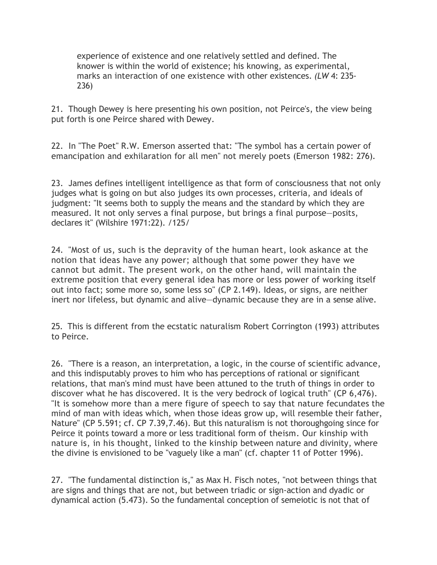experience of existence and one relatively settled and defined. The knower is within the world of existence; his knowing, as experimental, marks an interaction of one existence with other existences. *(LW* 4: 235- 236)

21. Though Dewey is here presenting his own position, not Peirce's, the view being put forth is one Peirce shared with Dewey.

22. In "The Poet" R.W. Emerson asserted that: "The symbol has a certain power of emancipation and exhilaration for all men" not merely poets (Emerson 1982: 276).

23. James defines intelligent intelligence as that form of consciousness that not only judges what is going on but also judges its own processes, criteria, and ideals of judgment: "It seems both to supply the means and the standard by which they are measured. It not only serves a final purpose, but brings a final purpose–posits, declares it" (Wilshire 1971:22). /125/

24. "Most of us, such is the depravity of the human heart, look askance at the notion that ideas have any power; although that some power they have we cannot but admit. The present work, on the other hand, will maintain the extreme position that every general idea has more or less power of working itself out into fact; some more so, some less so" (CP 2.149). Ideas, or signs, are neither inert nor lifeless, but dynamic and alive–dynamic because they are in a sense alive.

25. This is different from the ecstatic naturalism Robert Corrington (1993) attributes to Peirce.

26. "There is a reason, an interpretation, a logic, in the course of scientific advance, and this indisputably proves to him who has perceptions of rational or significant relations, that man's mind must have been attuned to the truth of things in order to discover what he has discovered. It is the very bedrock of logical truth" (CP 6,476). "It is somehow more than a mere figure of speech to say that nature fecundates the mind of man with ideas which, when those ideas grow up, will resemble their father, Nature" (CP 5.591; cf. CP 7.39,7.46). But this naturalism is not thoroughgoing since for Peirce it points toward a more or less traditional form of theism. Our kinship with nature is, in his thought, linked to the kinship between nature and divinity, where the divine is envisioned to be "vaguely like a man" (cf. chapter 11 of Potter 1996).

27. "The fundamental distinction is," as Max H. Fisch notes, "not between things that are signs and things that are not, but between triadic or sign-action and dyadic or dynamical action (5.473). So the fundamental conception of semeiotic is not that of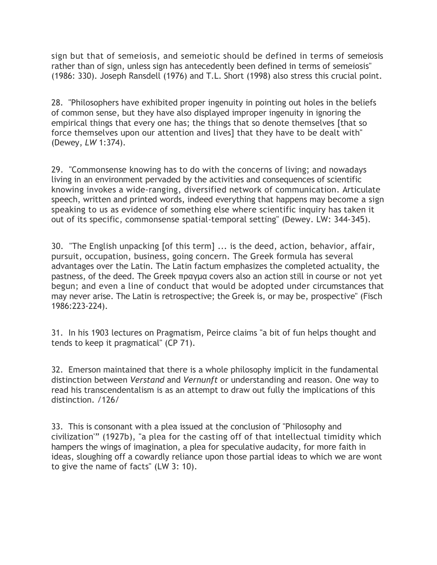sign but that of semeiosis, and semeiotic should be defined in terms of semeiosis rather than of sign, unless sign has antecedently been defined in terms of semeiosis" (1986: 330). Joseph Ransdell (1976) and T.L. Short (1998) also stress this crucial point.

28. "Philosophers have exhibited proper ingenuity in pointing out holes in the beliefs of common sense, but they have also displayed improper ingenuity in ignoring the empirical things that every one has; the things that so denote themselves [that so force themselves upon our attention and lives] that they have to be dealt with" (Dewey, *LW* 1:374).

29. "Commonsense knowing has to do with the concerns of living; and nowadays living in an environment pervaded by the activities and consequences of scientific knowing invokes a wide-ranging, diversified network of communication. Articulate speech, written and printed words, indeed everything that happens may become a sign speaking to us as evidence of something else where scientific inquiry has taken it out of its specific, commonsense spatial-temporal setting" (Dewey. LW: 344-345).

30. "The English unpacking [of this term] ... is the deed, action, behavior, affair, pursuit, occupation, business, going concern. The Greek formula has several advantages over the Latin. The Latin factum emphasizes the completed actuality, the pastness, of the deed. The Greek πραγµα covers also an action still in course or not yet begun; and even a line of conduct that would be adopted under circumstances that may never arise. The Latin is retrospective; the Greek is, or may be, prospective" (Fisch 1986:223-224).

31. In his 1903 lectures on Pragmatism, Peirce claims "a bit of fun helps thought and tends to keep it pragmatical" (CP 71).

32. Emerson maintained that there is a whole philosophy implicit in the fundamental distinction between *Verstand* and *Vernunft* or understanding and reason. One way to read his transcendentalism is as an attempt to draw out fully the implications of this distinction. /126/

33. This is consonant with a plea issued at the conclusion of "Philosophy and civilization" (1927b), "a plea for the casting off of that intellectual timidity which hampers the wings of imagination, a plea for speculative audacity, for more faith in ideas, sloughing off a cowardly reliance upon those partial ideas to which we are wont to give the name of facts" (LW 3: 10).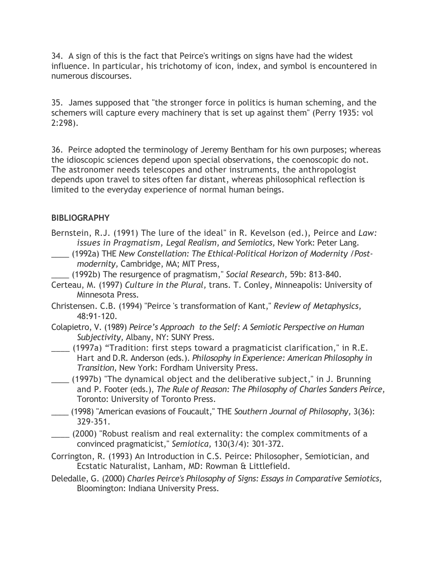34. A sign of this is the fact that Peirce's writings on signs have had the widest influence. In particular, his trichotomy of icon, index, and symbol is encountered in numerous discourses.

35. James supposed that "the stronger force in politics is human scheming, and the schemers will capture every machinery that is set up against them" (Perry 1935: vol 2:298).

36. Peirce adopted the terminology of Jeremy Bentham for his own purposes; whereas the idioscopic sciences depend upon special observations, the coenoscopic do not. The astronomer needs telescopes and other instruments, the anthropologist depends upon travel to sites often far distant, whereas philosophical reflection is limited to the everyday experience of normal human beings.

# **BIBLIOGRAPHY**

- Bernstein, R.J. (1991) The lure of the ideal" in R. Kevelson (ed.), Peirce and *Law: issues in Pragmatism, Legal Realism, and Semiotics,* New York: Peter Lang.
- \_\_\_\_ (1992a) THE *New Constellation: The Ethical-Political Horizon of Modernity /Postmodernity,* Cambridge, MA; MIT Press,
- \_\_\_\_ (1992b) The resurgence of pragmatism," *Social Research,* 59b: 813-840.
- Certeau, M. (1997) *Culture in the Plural,* trans. T. Conley, Minneapolis: University of Minnesota Press.
- Christensen. C.B. (1994) "Peirce 's transformation of Kant," *Review of Metaphysics,*  48:91-120.
- Colapietro, V. (1989) *Peirce's Approach to the Self: A Semiotic Perspective on Human Subjectivity,* Albany, NY: SUNY Press.
- $\frac{1}{12}$  (1997a) "Tradition: first steps toward a pragmaticist clarification," in R.E. Hart and D.R. Anderson (eds.). *Philosophy in Experience: American Philosophy in Transition,* New York: Fordham University Press.
- \_\_\_\_ (1997b) "The dynamical object and the deliberative subject," in J. Brunning and P. Footer (eds.), *The Rule of Reason: The Philosophy of Charles Sanders Peirce,*  Toronto: University of Toronto Press.
- \_\_\_\_ (1998) "American evasions of Foucault," THE *Southern Journal of Philosophy,* 3(36): 329-351.
- \_\_\_\_ (2000) "Robust realism and real externality: the complex commitments of a convinced pragmaticist," *Semiotica,* 130(3/4): 301-372.
- Corrington, R. (1993) An Introduction in C.S. Peirce: Philosopher, Semiotician, and Ecstatic Naturalist, Lanham, MD: Rowman & Littlefield.

Deledalle, G. (2000) *Charles Peirce's Philosophy of Signs: Essays in Comparative Semiotics,*  Bloomington: Indiana University Press.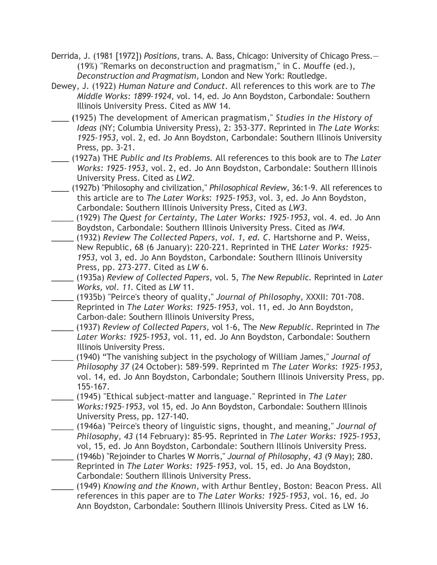- Derrida, J. (1981 [1972]) *Positions*, trans. A. Bass, Chicago: University of Chicago Press. (19%) "Remarks on deconstruction and pragmatism," in C. Mouffe (ed.), *Deconstruction and Pragmatism,* London and New York: Routledge.
- Dewey, J. (1922) *Human Nature and Conduct.* All references to this work are to *The Middle Works: 1899-1924,* vol. 14, ed. Jo Ann Boydston, Carbondale: Southern Illinois University Press. Cited as MW 14.
- \_\_\_\_ (1925) The development of American pragmatism," *Studies in the History of Ideas* (NY; Columbia University Press), 2: 353-377. Reprinted in *The Late Works*: *1925-1953,* vol. 2, ed. Jo Ann Boydston, Carbondale: Southern Illinois University Press, pp. 3-21.
- \_\_\_\_ (1927a) THE *Public and Its Problems.* All references to this book are to *The Later Works: 1925-1953,* vol. 2, ed. Jo Ann Boydston, Carbondale: Southern Illinois University Press. Cited as *LW2.*
- \_\_\_\_ (1927b) "Philosophy and civilization," *Philosophical Review,* 36:1-9. All references to this article are to *The Later Works*: *1925-1953,* vol. 3, ed. Jo Ann Boydston, Carbondale: Southern Illinois University Press, Cited as *LW3.*
- *\_\_\_\_\_* (1929) *The Quest for Certainty, The Later Works: 1925-1953,* vol. 4. ed. Jo Ann Boydston, Carbondale: Southern Illinois University Press. Cited as *IW4.*
- \_\_\_\_\_ (1932) *Review The Collected Papers, vol. 1, ed. C.* Hartshorne and P. Weiss, New Republic, 68 (6 January): 220-221. Reprinted in THE *Later Works: 1925- 1953,* vol 3, ed. Jo Ann Boydston, Carbondale: Southern Illinois University Press, pp. 273-277. Cited as *LW* 6.
- \_\_\_\_\_ (1935a) *Review of Collected Papers,* vol. 5, *The New Republic.* Reprinted in *Later Works, vol. 11.* Cited as *LW* 11.
- \_\_\_\_\_ (1935b) "Peirce's theory of quality,'' *Journal of Philosophy,* XXXII: 701-708. Reprinted in *The Later Works*: *1925-1953,* vol. 11, ed. Jo Ann Boydston, Carbon-dale: Southern Illinois University Press,
- \_\_\_\_\_ (1937) *Review of Collected Papers,* vol 1-6, The *New Republic.* Reprinted in *The Later Works: 1925-1953,* vol. 11, ed. Jo Ann Boydston, Carbondale: Southern Illinois University Press.
- \_\_\_\_\_ (1940) ìThe vanishing subject in the psychology of William James," *Journal of Philosophy 37* (24 October): 589-599. Reprinted m *The Later Works*: *1925-1953,*  vol. 14, ed. Jo Ann Boydston, Carbondale; Southern Illinois University Press, pp. 155-167.
- \_\_\_\_\_ (1945) "Ethical subject-matter and language." Reprinted in *The Later Works:1925-1953,* vol 15, ed. Jo Ann Boydston, Carbondale: Southern Illinois University Press, pp. 127-140.
- \_\_\_\_\_ (1946a) "Peirce's theory of linguistic signs, thought, and meaning," *Journal of Philosophy, 43* (14 February): 85-95. Reprinted in *The Later Works: 1925-1953,*  vol, 15, ed. Jo Ann Boydston, Carbondale: Southern Illinois University Press.
- \_\_\_\_\_ (1946b) "Rejoinder to Charles W Morris," *Journal of Philosophy, 43* (9 May); 280. Reprinted in *The Later Works: 1925-1953,* vol. 15, ed. Jo Ana Boydston, Carbondale: Southern Illinois University Press.
- \_\_\_\_\_ (1949) *Knowing and the Known,* with Arthur Bentley, Boston: Beacon Press. All references in this paper are to *The Later Works: 1925-1953,* vol. 16, ed. Jo Ann Boydston, Carbondale: Southern Illinois University Press. Cited as LW 16.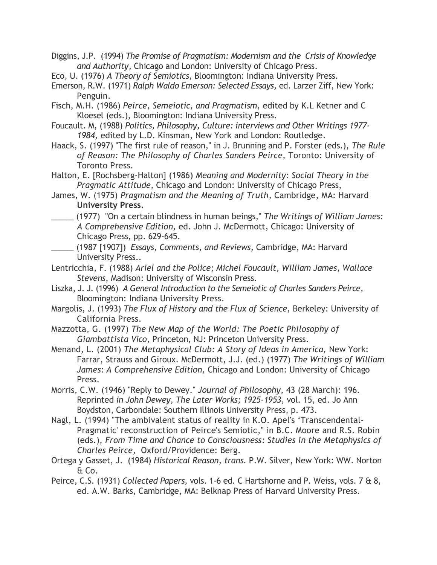Diggins, J.P. (1994) *The Promise of Pragmatism: Modernism and the Crisis of Knowledge and Authority,* Chicago and London: University of Chicago Press.

Eco, U. (1976) *A Theory of Semiotics,* Bloomington: Indiana University Press.

Emerson, R.W. (1971) *Ralph Waldo Emerson: Selected Essays,* ed. Larzer Ziff, New York: Penguin.

Fisch, M.H. (1986) *Peirce, Semeiotic, and Pragmatism,* edited by K.L Ketner and C Kloesel (eds.), Bloomington: Indiana University Press.

Foucault. M, (1988) *Politics, Philosophy, Culture: interviews and Other Writings 1977- 1984,* edited by L.D. Kinsman, New York and London: Routledge.

Haack, S. (1997) "The first rule of reason," in J. Brunning and P. Forster (eds.), *The Rule of Reason: The Philosophy of Charles Sanders Peirce,* Toronto: University of Toronto Press.

Halton, E. [Rochsberg-Halton] (1986) *Meaning and Modernity: Social Theory in the Pragmatic Attitude,* Chicago and London: University of Chicago Press,

- James, W. (1975) *Pragmatism and the Meaning of Truth,* Cambridge, MA: Harvard **University Press.**
- \_\_\_\_\_ (1977) "On a certain blindness in human beings," *The Writings of William James: A Comprehensive Edition,* ed. John J. McDermott, Chicago: University of Chicago Press, pp. 629-645.
- \_\_\_\_\_ (1987 [1907]) *Essays, Comments, and Reviews,* Cambridge, MA: Harvard University Press..
- Lentricchia, F. (1988) *Ariel and the Police; Michel Foucault, William James, Wallace Stevens*, Madison: University of Wisconsin Press.
- Liszka, J. J. (1996) *A General Introduction to the Semeiotic of Charles Sanders Peirce,*  Bloomington: Indiana University Press.

Margolis, J. (1993) *The Flux of History and the Flux of Science,* Berkeley: University of California Press.

Mazzotta, G. (1997) *The New Map of the World: The Poetic Philosophy of Giambattista Vico,* Princeton, NJ: Princeton University Press.

- Menand, L. (2001) *The Metaphysical Club: A Story of Ideas in America,* New York: Farrar, Strauss and Giroux. McDermott, J.J. (ed.) (1977) *The Writings of William James: A Comprehensive Edition,* Chicago and London: University of Chicago Press.
- Morris, C.W. (1946) "Reply to Dewey." *Journal of Philosophy,* 43 (28 March): 196. Reprinted *in John Dewey, The Later Works; 1925-1953,* vol. 15, ed. Jo Ann Boydston, Carbondale: Southern Illinois University Press, p. 473.
- Nagl, L. (1994) "The ambivalent status of reality in K.O. Apel's 'Transcendental-Pragmatic' reconstruction of Peirce's Semiotic," in B.C. Moore and R.S. Robin (eds.), *From Time and Chance to Consciousness: Studies in the Metaphysics of Charles Peirce,* Oxford/Providence: Berg.
- Ortega y Gasset, J. (1984) *Historical Reason, trans.* P.W. Silver, New York: WW. Norton & Co.
- Peirce, C.S. (1931) *Collected Papers,* vols. 1-6 ed. C Hartshorne and P. Weiss, vols. 7 & 8, ed. A.W. Barks, Cambridge, MA: Belknap Press of Harvard University Press.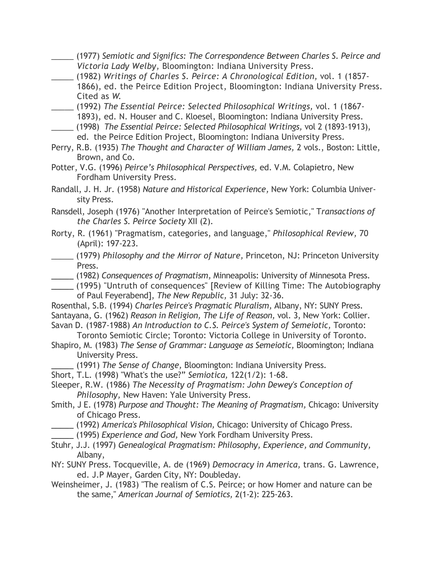- \_\_\_\_\_ (1977) *Semiotic and Significs: The Correspondence Between Charles S. Peirce and Victoria Lady Welby,* Bloomington: Indiana University Press.
- \_\_\_\_\_ (1982) *Writings of Charles S. Peirce: A Chronological Edition,* vol. 1 (1857- 1866), ed. the Peirce Edition Project, Bloomington: Indiana University Press. Cited as *W.*
- \_\_\_\_\_ (1992) *The Essential Peirce: Selected Philosophical Writings,* vol. 1 (1867- 1893), ed. N. Houser and C. Kloesel, Bloomington: Indiana University Press. \_\_\_\_\_ (1998) *The Essential Peirce: Selected Philosophical Writings,* vol 2 (1893-1913),
- ed. the Peirce Edition Project, Bloomington: Indiana University Press.
- Perry, R.B. (1935) *The Thought and Character of William James,* 2 vols., Boston: Little, Brown, and Co.
- Potter, V.G. (1996) *Peirceís Philosophical Perspectives,* ed. V.M. Colapietro, New Fordham University Press.
- Randall, J. H. Jr. (1958) *Nature and Historical Experience,* New York: Columbia University Press.
- Ransdell, Joseph (1976) "Another Interpretation of Peirce's Semiotic," T*ransactions of the Charles S. Peirce Society* XII (2).
- Rorty, R. (1961) "Pragmatism, categories, and language," *Philosophical Review,* 70 (April): 197-223.
	- \_\_\_\_\_ (1979) *Philosophy and the Mirror of Nature,* Princeton, NJ: Princeton University Press.
- \_\_\_\_\_ (1982) *Consequences of Pragmatism,* Minneapolis: University of Minnesota Press.
- \_\_\_\_\_ (1995) "Untruth of consequences" [Review of Killing Time: The Autobiography of Paul Feyerabend], *The New Republic,* 31 July: 32-36.
- Rosenthal, S.B. (1994) *Charles Peirce's Pragmatic Pluralism,* Albany, NY: SUNY Press. Santayana, G. (1962) *Reason in Religion, The Life of Reason,* vol. 3, New York: Collier. Savan D. (1987-1988) *An Introduction to C.S. Peirce's System of Semeiotic,* Toronto:

Toronto Semiotic Circle; Toronto: Victoria College in University of Toronto.

- Shapiro, M. (1983) *The Sense of Grammar: Language as Semeiotic,* Bloomington; Indiana University Press.
	- \_\_\_\_\_ (1991) *The Sense of Change,* Bloomington: Indiana University Press.

Short, T.L. (1998) "What's the use?î *Semiotica,* 122(1/2): 1-68.

- Sleeper, R.W. (1986) *The Necessity of Pragmatism: John Dewey's Conception of Philosophy,* New Haven: Yale University Press.
- Smith, J E. (1978) *Purpose and Thought: The Meaning of Pragmatism,* Chicago: University of Chicago Press.
- \_\_\_\_\_ (1992) *America's Philosophical Vision,* Chicago: University of Chicago Press.
- \_\_\_\_\_ (1995) *Experience and God,* New York Fordham University Press.
- Stuhr, J.J. (1997) *Genealogical Pragmatism: Philosophy, Experience, and Community,*  Albany,
- NY: SUNY Press. Tocqueville, A. de (1969) *Democracy in America,* trans. G. Lawrence, ed. J.P Mayer, Garden City, NY: Doubleday.
- Weinsheimer, J. (1983) "The realism of C.S. Peirce; or how Homer and nature can be the same," *American Journal of Semiotics,* 2(1-2): 225-263.